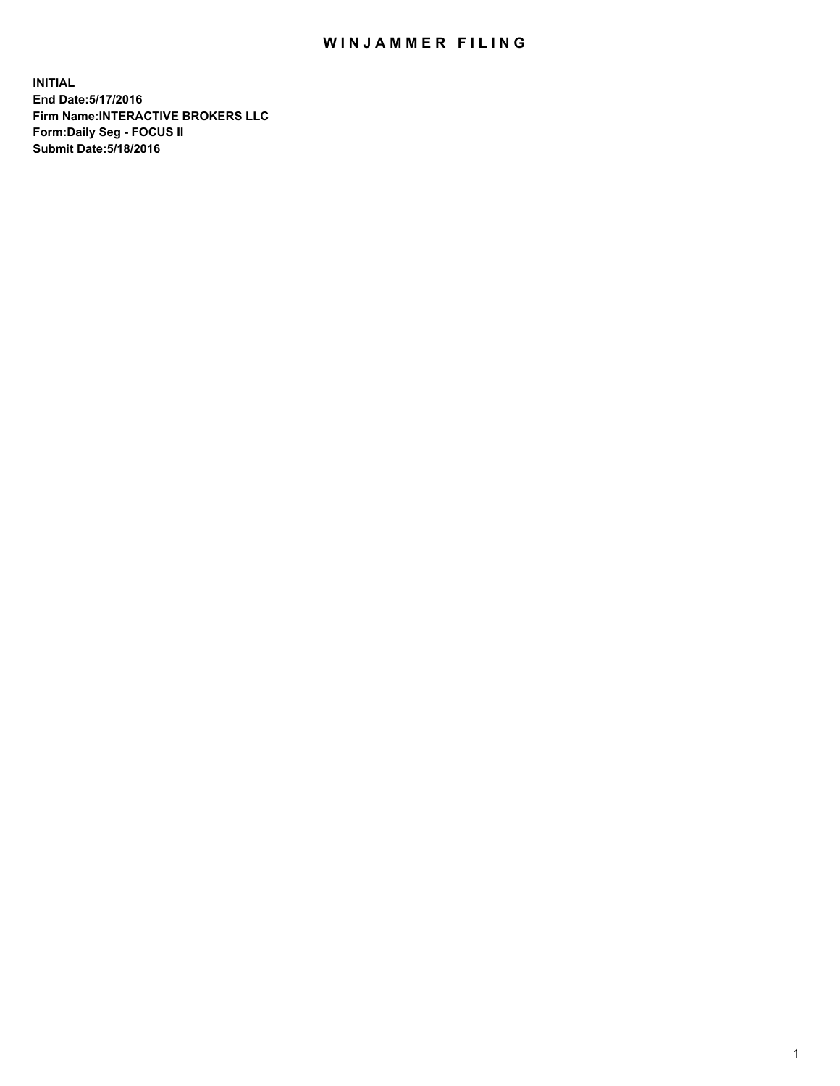## WIN JAMMER FILING

**INITIAL End Date:5/17/2016 Firm Name:INTERACTIVE BROKERS LLC Form:Daily Seg - FOCUS II Submit Date:5/18/2016**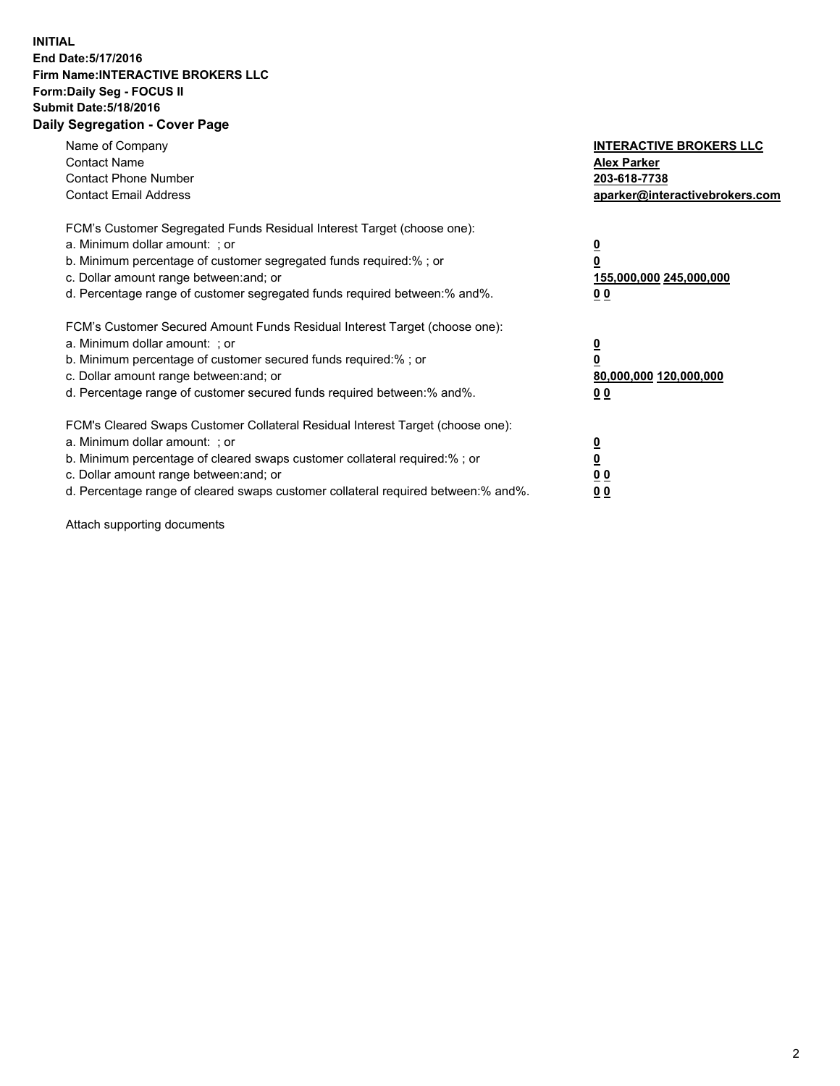## **INITIAL End Date:5/17/2016 Firm Name:INTERACTIVE BROKERS LLC Form:Daily Seg - FOCUS II Submit Date:5/18/2016 Daily Segregation - Cover Page**

| Name of Company<br><b>Contact Name</b><br><b>Contact Phone Number</b><br><b>Contact Email Address</b>                                                                                                                                                                                                                          | <b>INTERACTIVE BROKERS LLC</b><br><b>Alex Parker</b><br>203-618-7738<br>aparker@interactivebrokers.com |
|--------------------------------------------------------------------------------------------------------------------------------------------------------------------------------------------------------------------------------------------------------------------------------------------------------------------------------|--------------------------------------------------------------------------------------------------------|
| FCM's Customer Segregated Funds Residual Interest Target (choose one):<br>a. Minimum dollar amount: ; or<br>b. Minimum percentage of customer segregated funds required:%; or<br>c. Dollar amount range between: and; or<br>d. Percentage range of customer segregated funds required between:% and%.                          | <u>0</u><br>155,000,000 245,000,000<br><u>0 0</u>                                                      |
| FCM's Customer Secured Amount Funds Residual Interest Target (choose one):<br>a. Minimum dollar amount: ; or<br>b. Minimum percentage of customer secured funds required:% ; or<br>c. Dollar amount range between: and; or<br>d. Percentage range of customer secured funds required between:% and%.                           | <u>0</u><br>80,000,000 120,000,000<br><u>0 0</u>                                                       |
| FCM's Cleared Swaps Customer Collateral Residual Interest Target (choose one):<br>a. Minimum dollar amount: ; or<br>b. Minimum percentage of cleared swaps customer collateral required:% ; or<br>c. Dollar amount range between: and; or<br>d. Percentage range of cleared swaps customer collateral required between:% and%. | <u>0</u><br>0 <sub>0</sub><br>0 <sub>0</sub>                                                           |

Attach supporting documents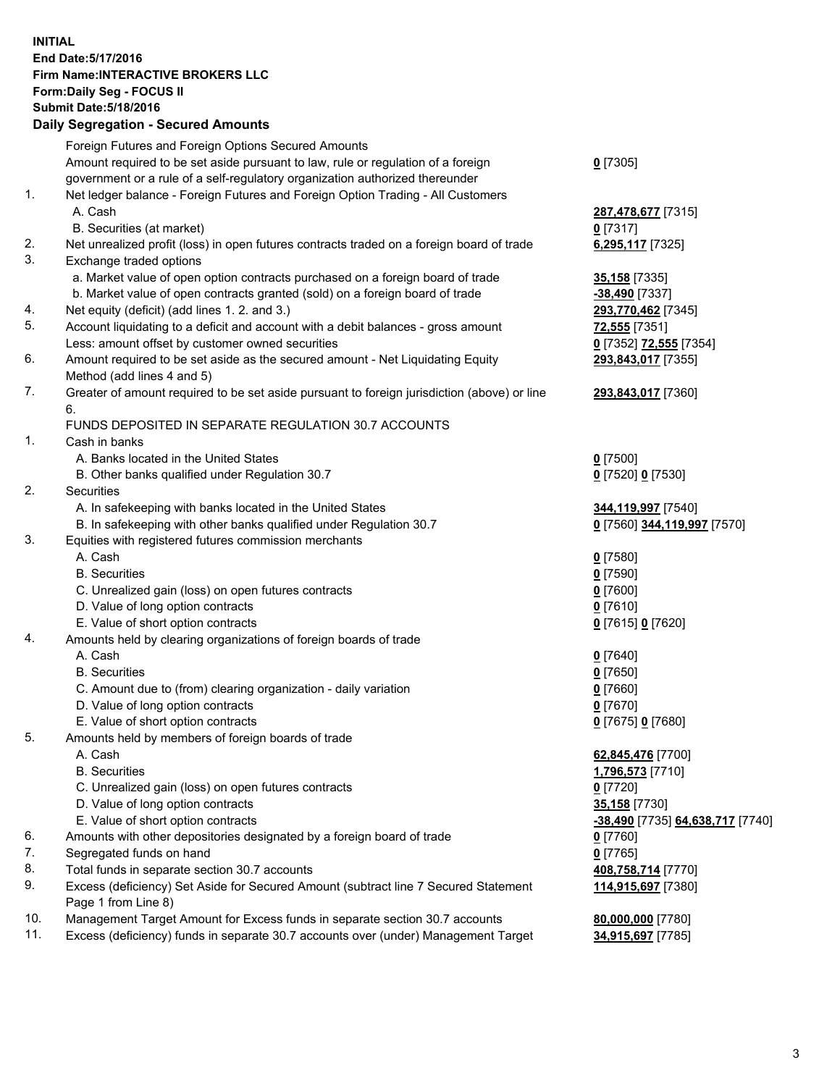## **INITIAL End Date:5/17/2016 Firm Name:INTERACTIVE BROKERS LLC Form:Daily Seg - FOCUS II Submit Date:5/18/2016 Daily Segregation - Secured Amounts**

|     | Foreign Futures and Foreign Options Secured Amounts                                         |                                  |
|-----|---------------------------------------------------------------------------------------------|----------------------------------|
|     | Amount required to be set aside pursuant to law, rule or regulation of a foreign            | $0$ [7305]                       |
|     | government or a rule of a self-regulatory organization authorized thereunder                |                                  |
| 1.  | Net ledger balance - Foreign Futures and Foreign Option Trading - All Customers             |                                  |
|     | A. Cash                                                                                     | 287,478,677 [7315]               |
|     | B. Securities (at market)                                                                   | $0$ [7317]                       |
| 2.  | Net unrealized profit (loss) in open futures contracts traded on a foreign board of trade   | 6,295,117 [7325]                 |
| 3.  | Exchange traded options                                                                     |                                  |
|     | a. Market value of open option contracts purchased on a foreign board of trade              | 35,158 [7335]                    |
|     | b. Market value of open contracts granted (sold) on a foreign board of trade                | -38,490 [7337]                   |
| 4.  | Net equity (deficit) (add lines 1.2. and 3.)                                                | 293,770,462 [7345]               |
| 5.  | Account liquidating to a deficit and account with a debit balances - gross amount           | <b>72,555</b> [7351]             |
|     | Less: amount offset by customer owned securities                                            | 0 [7352] 72,555 [7354]           |
| 6.  | Amount required to be set aside as the secured amount - Net Liquidating Equity              | 293,843,017 [7355]               |
|     | Method (add lines 4 and 5)                                                                  |                                  |
| 7.  | Greater of amount required to be set aside pursuant to foreign jurisdiction (above) or line | 293,843,017 [7360]               |
|     | 6.                                                                                          |                                  |
|     | FUNDS DEPOSITED IN SEPARATE REGULATION 30.7 ACCOUNTS                                        |                                  |
| 1.  | Cash in banks                                                                               |                                  |
|     | A. Banks located in the United States                                                       | $Q$ [7500]                       |
|     | B. Other banks qualified under Regulation 30.7                                              | 0 [7520] 0 [7530]                |
| 2.  | Securities                                                                                  |                                  |
|     | A. In safekeeping with banks located in the United States                                   |                                  |
|     |                                                                                             | 344,119,997 [7540]               |
| 3.  | B. In safekeeping with other banks qualified under Regulation 30.7                          | 0 [7560] 344,119,997 [7570]      |
|     | Equities with registered futures commission merchants                                       |                                  |
|     | A. Cash                                                                                     | $0$ [7580]                       |
|     | <b>B.</b> Securities                                                                        | $0$ [7590]                       |
|     | C. Unrealized gain (loss) on open futures contracts                                         | $0$ [7600]                       |
|     | D. Value of long option contracts                                                           | $0$ [7610]                       |
|     | E. Value of short option contracts                                                          | 0 [7615] 0 [7620]                |
| 4.  | Amounts held by clearing organizations of foreign boards of trade                           |                                  |
|     | A. Cash                                                                                     | $0$ [7640]                       |
|     | <b>B.</b> Securities                                                                        | $0$ [7650]                       |
|     | C. Amount due to (from) clearing organization - daily variation                             | $0$ [7660]                       |
|     | D. Value of long option contracts                                                           | $0$ [7670]                       |
|     | E. Value of short option contracts                                                          | 0 [7675] 0 [7680]                |
| 5.  | Amounts held by members of foreign boards of trade                                          |                                  |
|     | A. Cash                                                                                     | 62,845,476 [7700]                |
|     | <b>B.</b> Securities                                                                        | 1,796,573 [7710]                 |
|     | C. Unrealized gain (loss) on open futures contracts                                         | $0$ [7720]                       |
|     | D. Value of long option contracts                                                           | 35,158 [7730]                    |
|     | E. Value of short option contracts                                                          | -38,490 [7735] 64,638,717 [7740] |
| 6.  | Amounts with other depositories designated by a foreign board of trade                      | $0$ [7760]                       |
| 7.  | Segregated funds on hand                                                                    | $0$ [7765]                       |
| 8.  | Total funds in separate section 30.7 accounts                                               | 408,758,714 [7770]               |
| 9.  | Excess (deficiency) Set Aside for Secured Amount (subtract line 7 Secured Statement         | 114,915,697 [7380]               |
|     | Page 1 from Line 8)                                                                         |                                  |
| 10. | Management Target Amount for Excess funds in separate section 30.7 accounts                 | 80,000,000 [7780]                |
| 11. | Excess (deficiency) funds in separate 30.7 accounts over (under) Management Target          | 34,915,697 [7785]                |
|     |                                                                                             |                                  |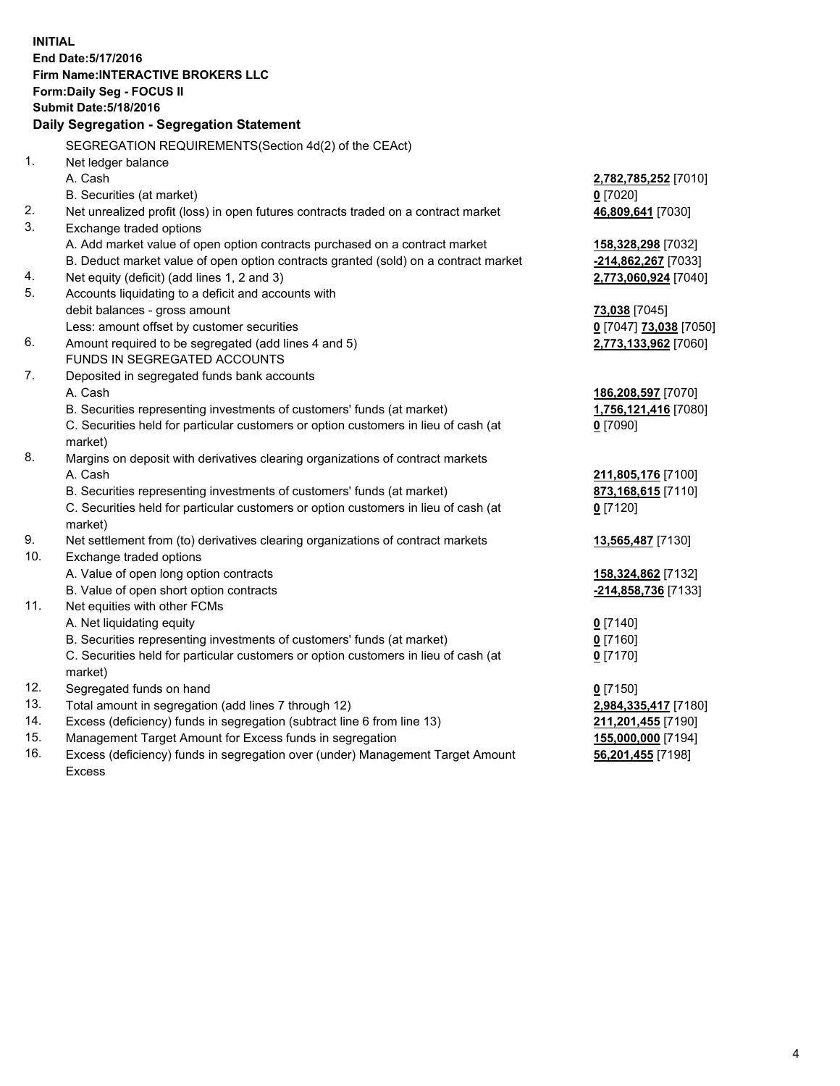**INITIAL End Date:5/17/2016 Firm Name:INTERACTIVE BROKERS LLC Form:Daily Seg - FOCUS II Submit Date:5/18/2016 Daily Segregation - Segregation Statement** SEGREGATION REQUIREMENTS(Section 4d(2) of the CEAct) 1. Net ledger balance A. Cash **2,782,785,252** [7010] B. Securities (at market) **0** [7020] 2. Net unrealized profit (loss) in open futures contracts traded on a contract market **46,809,641** [7030] 3. Exchange traded options A. Add market value of open option contracts purchased on a contract market **158,328,298** [7032] B. Deduct market value of open option contracts granted (sold) on a contract market **-214,862,267** [7033] 4. Net equity (deficit) (add lines 1, 2 and 3) **2,773,060,924** [7040] 5. Accounts liquidating to a deficit and accounts with debit balances - gross amount **73,038** [7045] Less: amount offset by customer securities **0** [7047] **73,038** [7050] 6. Amount required to be segregated (add lines 4 and 5) **2,773,133,962** [7060] FUNDS IN SEGREGATED ACCOUNTS 7. Deposited in segregated funds bank accounts A. Cash **186,208,597** [7070] B. Securities representing investments of customers' funds (at market) **1,756,121,416** [7080] C. Securities held for particular customers or option customers in lieu of cash (at market) **0** [7090] 8. Margins on deposit with derivatives clearing organizations of contract markets A. Cash **211,805,176** [7100] B. Securities representing investments of customers' funds (at market) **873,168,615** [7110] C. Securities held for particular customers or option customers in lieu of cash (at market) **0** [7120] 9. Net settlement from (to) derivatives clearing organizations of contract markets **13,565,487** [7130] 10. Exchange traded options A. Value of open long option contracts **158,324,862** [7132] B. Value of open short option contracts **-214,858,736** [7133] 11. Net equities with other FCMs A. Net liquidating equity **0** [7140] B. Securities representing investments of customers' funds (at market) **0** [7160] C. Securities held for particular customers or option customers in lieu of cash (at market) **0** [7170] 12. Segregated funds on hand **0** [7150] 13. Total amount in segregation (add lines 7 through 12) **2,984,335,417** [7180] 14. Excess (deficiency) funds in segregation (subtract line 6 from line 13) **211,201,455** [7190] 15. Management Target Amount for Excess funds in segregation **155,000,000** [7194] 16. Excess (deficiency) funds in segregation over (under) Management Target Amount Excess **56,201,455** [7198]